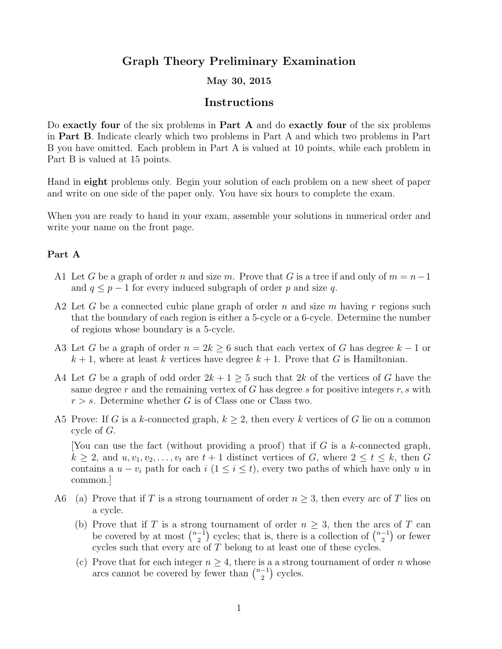# Graph Theory Preliminary Examination

## May 30, 2015

## Instructions

Do exactly four of the six problems in Part A and do exactly four of the six problems in Part B. Indicate clearly which two problems in Part A and which two problems in Part B you have omitted. Each problem in Part A is valued at 10 points, while each problem in Part B is valued at 15 points.

Hand in eight problems only. Begin your solution of each problem on a new sheet of paper and write on one side of the paper only. You have six hours to complete the exam.

When you are ready to hand in your exam, assemble your solutions in numerical order and write your name on the front page.

#### Part A

- A1 Let G be a graph of order n and size m. Prove that G is a tree if and only of  $m = n-1$ and  $q \leq p-1$  for every induced subgraph of order p and size q.
- A2 Let G be a connected cubic plane graph of order n and size m having r regions such that the boundary of each region is either a 5-cycle or a 6-cycle. Determine the number of regions whose boundary is a 5-cycle.
- A3 Let G be a graph of order  $n = 2k \geq 6$  such that each vertex of G has degree  $k 1$  or  $k + 1$ , where at least k vertices have degree  $k + 1$ . Prove that G is Hamiltonian.
- A4 Let G be a graph of odd order  $2k+1\geq 5$  such that  $2k$  of the vertices of G have the same degree r and the remaining vertex of G has degree s for positive integers  $r, s$  with  $r > s$ . Determine whether G is of Class one or Class two.
- A5 Prove: If G is a k-connected graph,  $k \geq 2$ , then every k vertices of G lie on a common cycle of G.

[You can use the fact (without providing a proof) that if  $G$  is a k-connected graph,  $k \geq 2$ , and  $u, v_1, v_2, \ldots, v_t$  are  $t + 1$  distinct vertices of G, where  $2 \leq t \leq k$ , then G contains a  $u - v_i$  path for each  $i$  (1  $\leq i \leq t$ ), every two paths of which have only u in common.]

- A6 (a) Prove that if T is a strong tournament of order  $n \geq 3$ , then every arc of T lies on a cycle.
	- (b) Prove that if T is a strong tournament of order  $n \geq 3$ , then the arcs of T can be covered by at most  $\binom{n-1}{2}$  $\binom{-1}{2}$  cycles; that is, there is a collection of  $\binom{n-1}{2}$  $\binom{-1}{2}$  or fewer cycles such that every arc of T belong to at least one of these cycles.
	- (c) Prove that for each integer  $n \geq 4$ , there is a a strong tournament of order n whose arcs cannot be covered by fewer than  $\binom{n-1}{2}$  $\binom{-1}{2}$  cycles.